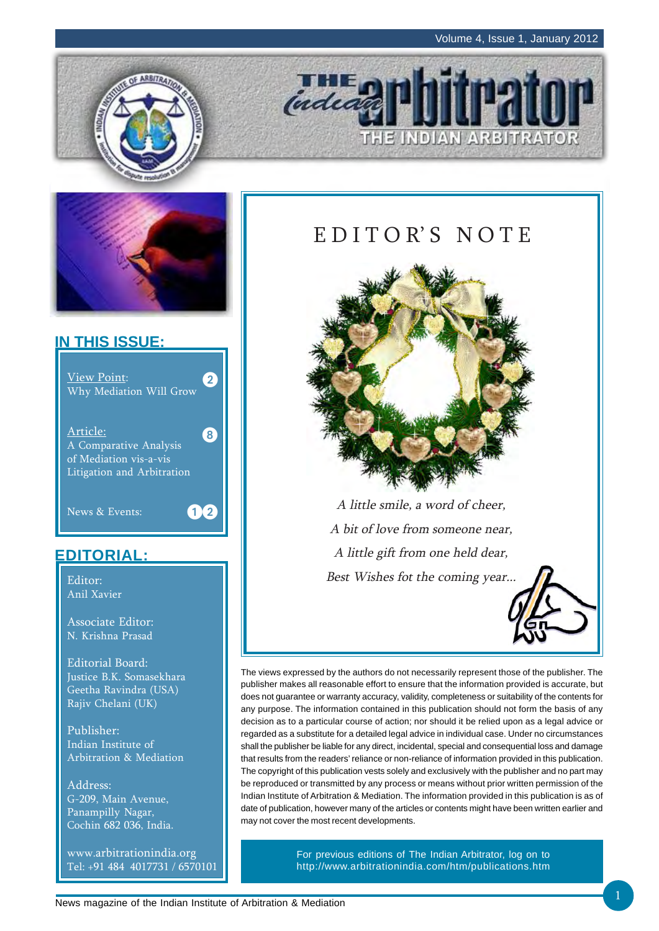THE INDIAN ARBITRATOR





## **IN THIS ISSUE:**



## **EDITORIAL:**

Editor: Anil Xavier

Associate Editor: N. Krishna Prasad

Editorial Board: Justice B.K. Somasekhara Geetha Ravindra (USA) Rajiv Chelani (UK)

Publisher: Indian Institute of Arbitration & Mediation

Address: G-209, Main Avenue, Panampilly Nagar, Cochin 682 036, India.

www.arbitrationindia.org Tel: +91 484 4017731 / 6570101

## E D I T O R' S N O T E

indeal



A little smile, a word of cheer, A bit of love from someone near, A little gift from one held dear, Best Wishes fot the coming year...



The views expressed by the authors do not necessarily represent those of the publisher. The publisher makes all reasonable effort to ensure that the information provided is accurate, but does not guarantee or warranty accuracy, validity, completeness or suitability of the contents for any purpose. The information contained in this publication should not form the basis of any decision as to a particular course of action; nor should it be relied upon as a legal advice or regarded as a substitute for a detailed legal advice in individual case. Under no circumstances shall the publisher be liable for any direct, incidental, special and consequential loss and damage that results from the readers' reliance or non-reliance of information provided in this publication. The copyright of this publication vests solely and exclusively with the publisher and no part may be reproduced or transmitted by any process or means without prior written permission of the Indian Institute of Arbitration & Mediation. The information provided in this publication is as of date of publication, however many of the articles or contents might have been written earlier and may not cover the most recent developments.

> For previous editions of The Indian Arbitrator, log on to http://www.arbitrationindia.com/htm/publications.htm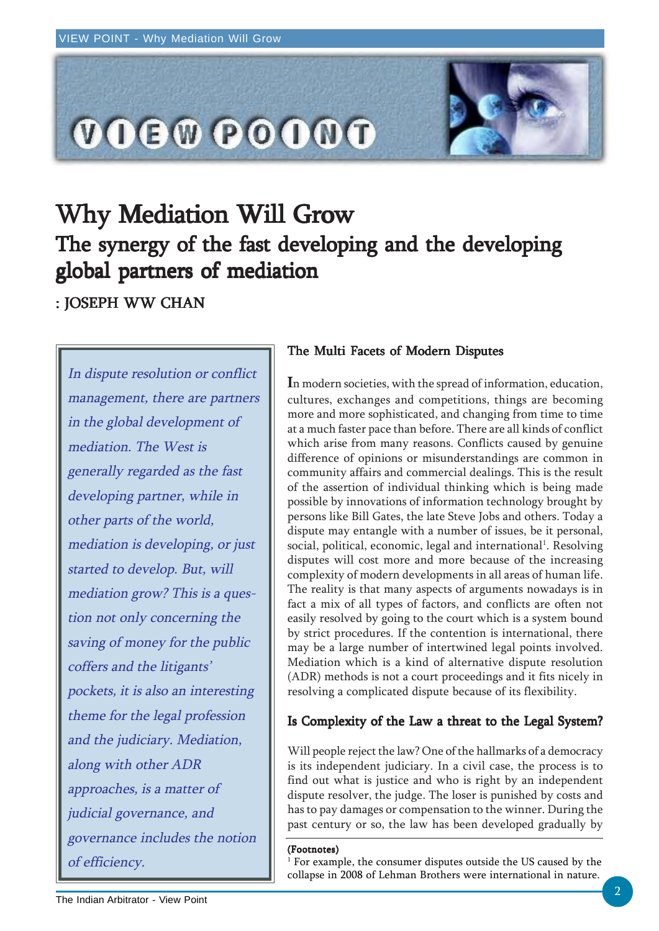

# Why Mediation Will Grow The synergy of the fast developing and the developing global partners of mediation

: JOSEPH WW CHAN

In dispute resolution or conflict management, there are partners in the global development of mediation. The West is generally regarded as the fast developing partner, while in other parts of the world, mediation is developing, or just started to develop. But, will mediation grow? This is a question not only concerning the saving of money for the public coffers and the litigants' pockets, it is also an interesting theme for the legal profession and the judiciary. Mediation, along with other ADR approaches, is a matter of judicial governance, and governance includes the notion of efficiency.

### The Multi Facets of Modern Disputes

In modern societies, with the spread of information, education, cultures, exchanges and competitions, things are becoming more and more sophisticated, and changing from time to time at a much faster pace than before. There are all kinds of conflict which arise from many reasons. Conflicts caused by genuine difference of opinions or misunderstandings are common in community affairs and commercial dealings. This is the result of the assertion of individual thinking which is being made possible by innovations of information technology brought by persons like Bill Gates, the late Steve Jobs and others. Today a dispute may entangle with a number of issues, be it personal, social, political, economic, legal and international<sup>1</sup>. Resolving disputes will cost more and more because of the increasing complexity of modern developments in all areas of human life. The reality is that many aspects of arguments nowadays is in fact a mix of all types of factors, and conflicts are often not easily resolved by going to the court which is a system bound by strict procedures. If the contention is international, there may be a large number of intertwined legal points involved. Mediation which is a kind of alternative dispute resolution (ADR) methods is not a court proceedings and it fits nicely in resolving a complicated dispute because of its flexibility.

## Is Complexity of the Law a threat to the Legal System?

Will people reject the law? One of the hallmarks of a democracy is its independent judiciary. In a civil case, the process is to find out what is justice and who is right by an independent dispute resolver, the judge. The loser is punished by costs and has to pay damages or compensation to the winner. During the past century or so, the law has been developed gradually by

#### (Footnotes)

1 For example, the consumer disputes outside the US caused by the collapse in 2008 of Lehman Brothers were international in nature.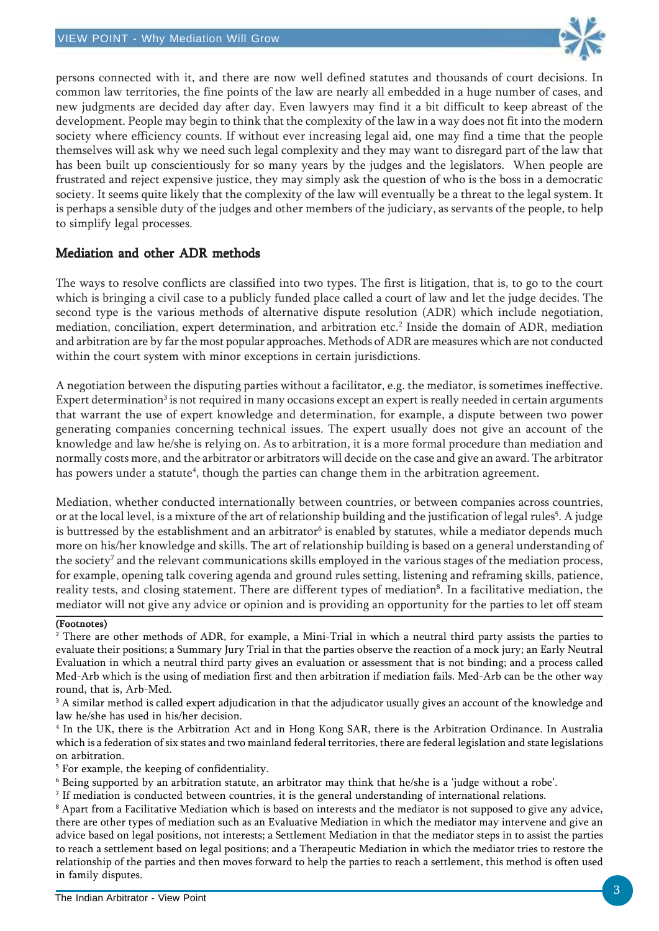

persons connected with it, and there are now well defined statutes and thousands of court decisions. In common law territories, the fine points of the law are nearly all embedded in a huge number of cases, and new judgments are decided day after day. Even lawyers may find it a bit difficult to keep abreast of the development. People may begin to think that the complexity of the law in a way does not fit into the modern society where efficiency counts. If without ever increasing legal aid, one may find a time that the people themselves will ask why we need such legal complexity and they may want to disregard part of the law that has been built up conscientiously for so many years by the judges and the legislators. When people are frustrated and reject expensive justice, they may simply ask the question of who is the boss in a democratic society. It seems quite likely that the complexity of the law will eventually be a threat to the legal system. It is perhaps a sensible duty of the judges and other members of the judiciary, as servants of the people, to help to simplify legal processes.

## Mediation and other ADR methods

The ways to resolve conflicts are classified into two types. The first is litigation, that is, to go to the court which is bringing a civil case to a publicly funded place called a court of law and let the judge decides. The second type is the various methods of alternative dispute resolution (ADR) which include negotiation, mediation, conciliation, expert determination, and arbitration etc. $^2$  Inside the domain of ADR, mediation and arbitration are by far the most popular approaches. Methods of ADR are measures which are not conducted within the court system with minor exceptions in certain jurisdictions.

A negotiation between the disputing parties without a facilitator, e.g. the mediator, is sometimes ineffective. Expert determination $^3$  is not required in many occasions except an expert is really needed in certain arguments that warrant the use of expert knowledge and determination, for example, a dispute between two power generating companies concerning technical issues. The expert usually does not give an account of the knowledge and law he/she is relying on. As to arbitration, it is a more formal procedure than mediation and normally costs more, and the arbitrator or arbitrators will decide on the case and give an award. The arbitrator has powers under a statute<sup>4</sup>, though the parties can change them in the arbitration agreement.

Mediation, whether conducted internationally between countries, or between companies across countries, or at the local level, is a mixture of the art of relationship building and the justification of legal rules<sup>5</sup>. A judge is buttressed by the establishment and an arbitrator $^6$  is enabled by statutes, while a mediator depends much more on his/her knowledge and skills. The art of relationship building is based on a general understanding of the society<sup>7</sup> and the relevant communications skills employed in the various stages of the mediation process, for example, opening talk covering agenda and ground rules setting, listening and reframing skills, patience, reality tests, and closing statement. There are different types of mediation $^{\rm 8}$ . In a facilitative mediation, the mediator will not give any advice or opinion and is providing an opportunity for the parties to let off steam

#### (Footnotes)

 $^2$  There are other methods of ADR, for example, a Mini-Trial in which a neutral third party assists the parties to evaluate their positions; a Summary Jury Trial in that the parties observe the reaction of a mock jury; an Early Neutral Evaluation in which a neutral third party gives an evaluation or assessment that is not binding; and a process called Med-Arb which is the using of mediation first and then arbitration if mediation fails. Med-Arb can be the other way round, that is, Arb-Med.

 $^3$  A similar method is called expert adjudication in that the adjudicator usually gives an account of the knowledge and law he/she has used in his/her decision.

4 In the UK, there is the Arbitration Act and in Hong Kong SAR, there is the Arbitration Ordinance. In Australia which is a federation of six states and two mainland federal territories, there are federal legislation and state legislations on arbitration.

<sup>5</sup> For example, the keeping of confidentiality.

 $^6$  Being supported by an arbitration statute, an arbitrator may think that he/she is a 'judge without a robe'.

 $^7$  If mediation is conducted between countries, it is the general understanding of international relations.

 $\rm{^8}$  Apart from a Facilitative Mediation which is based on interests and the mediator is not supposed to give any advice, there are other types of mediation such as an Evaluative Mediation in which the mediator may intervene and give an advice based on legal positions, not interests; a Settlement Mediation in that the mediator steps in to assist the parties to reach a settlement based on legal positions; and a Therapeutic Mediation in which the mediator tries to restore the relationship of the parties and then moves forward to help the parties to reach a settlement, this method is often used in family disputes.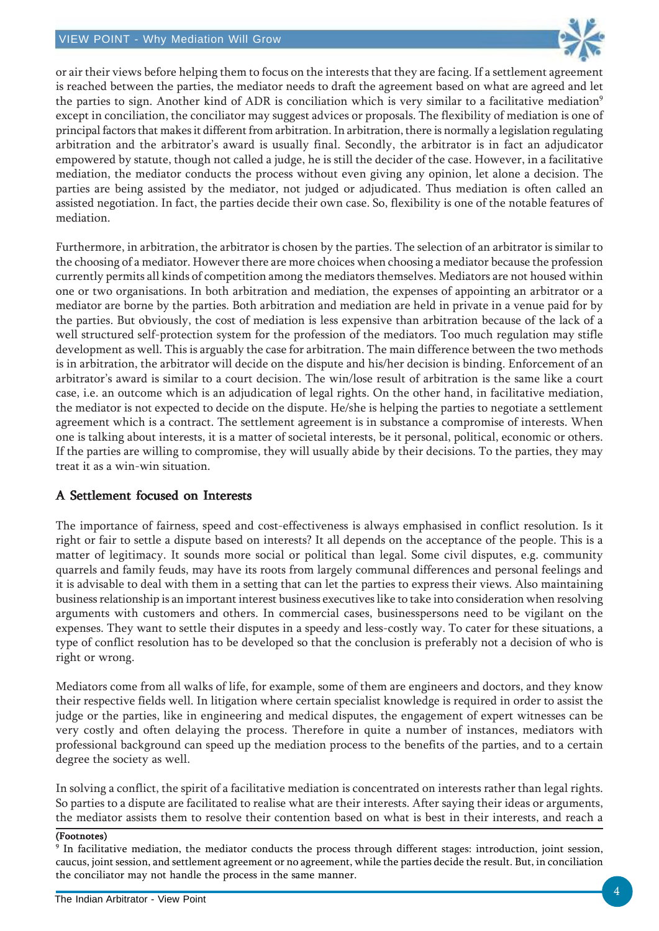

or air their views before helping them to focus on the interests that they are facing. If a settlement agreement is reached between the parties, the mediator needs to draft the agreement based on what are agreed and let the parties to sign. Another kind of ADR is conciliation which is very similar to a facilitative mediation<sup>9</sup> except in conciliation, the conciliator may suggest advices or proposals. The flexibility of mediation is one of principal factors that makes it different from arbitration. In arbitration, there is normally a legislation regulating arbitration and the arbitrator's award is usually final. Secondly, the arbitrator is in fact an adjudicator empowered by statute, though not called a judge, he is still the decider of the case. However, in a facilitative mediation, the mediator conducts the process without even giving any opinion, let alone a decision. The parties are being assisted by the mediator, not judged or adjudicated. Thus mediation is often called an assisted negotiation. In fact, the parties decide their own case. So, flexibility is one of the notable features of mediation.

Furthermore, in arbitration, the arbitrator is chosen by the parties. The selection of an arbitrator is similar to the choosing of a mediator. However there are more choices when choosing a mediator because the profession currently permits all kinds of competition among the mediators themselves. Mediators are not housed within one or two organisations. In both arbitration and mediation, the expenses of appointing an arbitrator or a mediator are borne by the parties. Both arbitration and mediation are held in private in a venue paid for by the parties. But obviously, the cost of mediation is less expensive than arbitration because of the lack of a well structured self-protection system for the profession of the mediators. Too much regulation may stifle development as well. This is arguably the case for arbitration. The main difference between the two methods is in arbitration, the arbitrator will decide on the dispute and his/her decision is binding. Enforcement of an arbitrator's award is similar to a court decision. The win/lose result of arbitration is the same like a court case, i.e. an outcome which is an adjudication of legal rights. On the other hand, in facilitative mediation, the mediator is not expected to decide on the dispute. He/she is helping the parties to negotiate a settlement agreement which is a contract. The settlement agreement is in substance a compromise of interests. When one is talking about interests, it is a matter of societal interests, be it personal, political, economic or others. If the parties are willing to compromise, they will usually abide by their decisions. To the parties, they may treat it as a win-win situation.

## A Settlement focused on Interests

The importance of fairness, speed and cost-effectiveness is always emphasised in conflict resolution. Is it right or fair to settle a dispute based on interests? It all depends on the acceptance of the people. This is a matter of legitimacy. It sounds more social or political than legal. Some civil disputes, e.g. community quarrels and family feuds, may have its roots from largely communal differences and personal feelings and it is advisable to deal with them in a setting that can let the parties to express their views. Also maintaining business relationship is an important interest business executives like to take into consideration when resolving arguments with customers and others. In commercial cases, businesspersons need to be vigilant on the expenses. They want to settle their disputes in a speedy and less-costly way. To cater for these situations, a type of conflict resolution has to be developed so that the conclusion is preferably not a decision of who is right or wrong.

Mediators come from all walks of life, for example, some of them are engineers and doctors, and they know their respective fields well. In litigation where certain specialist knowledge is required in order to assist the judge or the parties, like in engineering and medical disputes, the engagement of expert witnesses can be very costly and often delaying the process. Therefore in quite a number of instances, mediators with professional background can speed up the mediation process to the benefits of the parties, and to a certain degree the society as well.

In solving a conflict, the spirit of a facilitative mediation is concentrated on interests rather than legal rights. So parties to a dispute are facilitated to realise what are their interests. After saying their ideas or arguments, the mediator assists them to resolve their contention based on what is best in their interests, and reach a

#### (Footnotes)

<sup>9</sup> In facilitative mediation, the mediator conducts the process through different stages: introduction, joint session, caucus, joint session, and settlement agreement or no agreement, while the parties decide the result. But, in conciliation the conciliator may not handle the process in the same manner.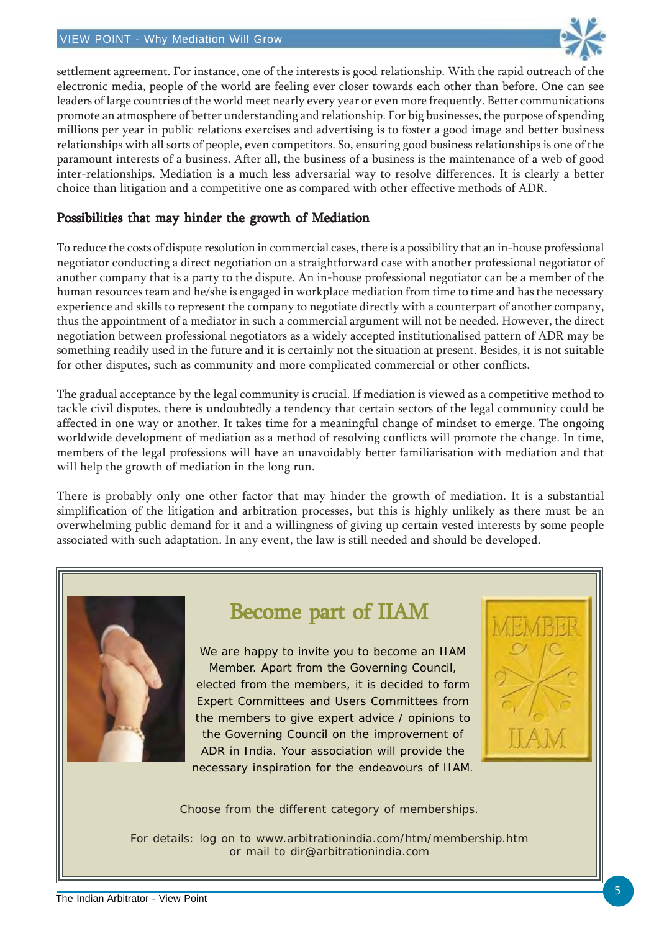

settlement agreement. For instance, one of the interests is good relationship. With the rapid outreach of the electronic media, people of the world are feeling ever closer towards each other than before. One can see leaders of large countries of the world meet nearly every year or even more frequently. Better communications promote an atmosphere of better understanding and relationship. For big businesses, the purpose of spending millions per year in public relations exercises and advertising is to foster a good image and better business relationships with all sorts of people, even competitors. So, ensuring good business relationships is one of the paramount interests of a business. After all, the business of a business is the maintenance of a web of good inter-relationships. Mediation is a much less adversarial way to resolve differences. It is clearly a better choice than litigation and a competitive one as compared with other effective methods of ADR.

### Possibilities that may hinder the growth of Mediation

To reduce the costs of dispute resolution in commercial cases, there is a possibility that an in-house professional negotiator conducting a direct negotiation on a straightforward case with another professional negotiator of another company that is a party to the dispute. An in-house professional negotiator can be a member of the human resources team and he/she is engaged in workplace mediation from time to time and has the necessary experience and skills to represent the company to negotiate directly with a counterpart of another company, thus the appointment of a mediator in such a commercial argument will not be needed. However, the direct negotiation between professional negotiators as a widely accepted institutionalised pattern of ADR may be something readily used in the future and it is certainly not the situation at present. Besides, it is not suitable for other disputes, such as community and more complicated commercial or other conflicts.

The gradual acceptance by the legal community is crucial. If mediation is viewed as a competitive method to tackle civil disputes, there is undoubtedly a tendency that certain sectors of the legal community could be affected in one way or another. It takes time for a meaningful change of mindset to emerge. The ongoing worldwide development of mediation as a method of resolving conflicts will promote the change. In time, members of the legal professions will have an unavoidably better familiarisation with mediation and that will help the growth of mediation in the long run.

There is probably only one other factor that may hinder the growth of mediation. It is a substantial simplification of the litigation and arbitration processes, but this is highly unlikely as there must be an overwhelming public demand for it and a willingness of giving up certain vested interests by some people associated with such adaptation. In any event, the law is still needed and should be developed.



## Become part of IIAM

We are happy to invite you to become an IIAM Member. Apart from the Governing Council, elected from the members, it is decided to form Expert Committees and Users Committees from the members to give expert advice / opinions to the Governing Council on the improvement of ADR in India. Your association will provide the necessary inspiration for the endeavours of IIAM.



Choose from the different category of memberships.

For details: log on to www.arbitrationindia.com/htm/membership.htm or mail to dir@arbitrationindia.com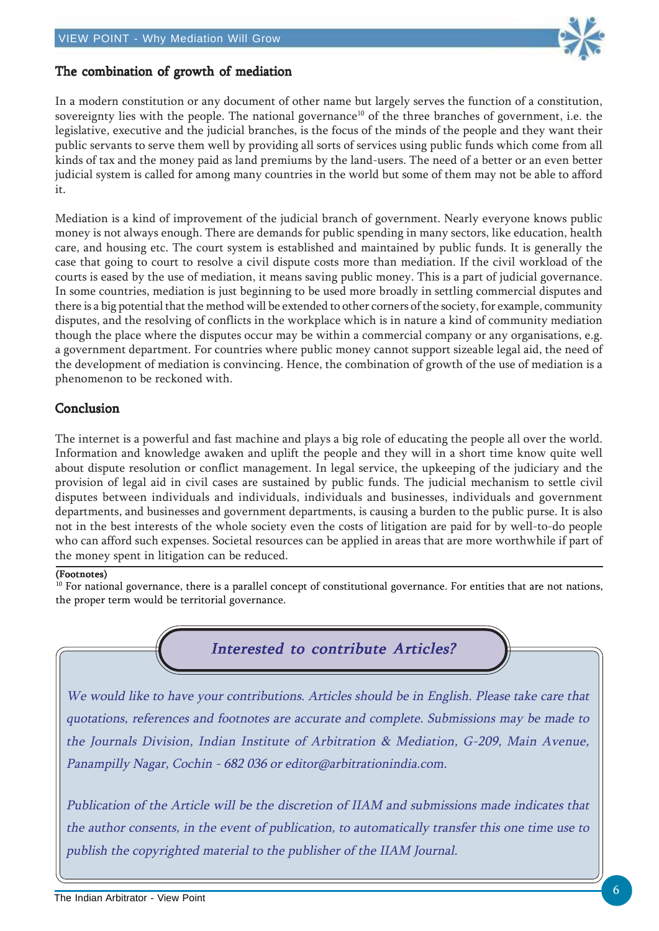

## The combination of growth of mediation

In a modern constitution or any document of other name but largely serves the function of a constitution, sovereignty lies with the people. The national governance<sup>10</sup> of the three branches of government, i.e. the legislative, executive and the judicial branches, is the focus of the minds of the people and they want their public servants to serve them well by providing all sorts of services using public funds which come from all kinds of tax and the money paid as land premiums by the land-users. The need of a better or an even better judicial system is called for among many countries in the world but some of them may not be able to afford it.

Mediation is a kind of improvement of the judicial branch of government. Nearly everyone knows public money is not always enough. There are demands for public spending in many sectors, like education, health care, and housing etc. The court system is established and maintained by public funds. It is generally the case that going to court to resolve a civil dispute costs more than mediation. If the civil workload of the courts is eased by the use of mediation, it means saving public money. This is a part of judicial governance. In some countries, mediation is just beginning to be used more broadly in settling commercial disputes and there is a big potential that the method will be extended to other corners of the society, for example, community disputes, and the resolving of conflicts in the workplace which is in nature a kind of community mediation though the place where the disputes occur may be within a commercial company or any organisations, e.g. a government department. For countries where public money cannot support sizeable legal aid, the need of the development of mediation is convincing. Hence, the combination of growth of the use of mediation is a phenomenon to be reckoned with.

### Conclusion

The internet is a powerful and fast machine and plays a big role of educating the people all over the world. Information and knowledge awaken and uplift the people and they will in a short time know quite well about dispute resolution or conflict management. In legal service, the upkeeping of the judiciary and the provision of legal aid in civil cases are sustained by public funds. The judicial mechanism to settle civil disputes between individuals and individuals, individuals and businesses, individuals and government departments, and businesses and government departments, is causing a burden to the public purse. It is also not in the best interests of the whole society even the costs of litigation are paid for by well-to-do people who can afford such expenses. Societal resources can be applied in areas that are more worthwhile if part of the money spent in litigation can be reduced.

#### (Footnotes)

 $10$  For national governance, there is a parallel concept of constitutional governance. For entities that are not nations, the proper term would be territorial governance.



We would like to have your contributions. Articles should be in English. Please take care that quotations, references and footnotes are accurate and complete. Submissions may be made to the Journals Division, Indian Institute of Arbitration & Mediation, G-209, Main Avenue, Panampilly Nagar, Cochin - 682 036 or editor@arbitrationindia.com.

Publication of the Article will be the discretion of IIAM and submissions made indicates that the author consents, in the event of publication, to automatically transfer this one time use to publish the copyrighted material to the publisher of the IIAM Journal.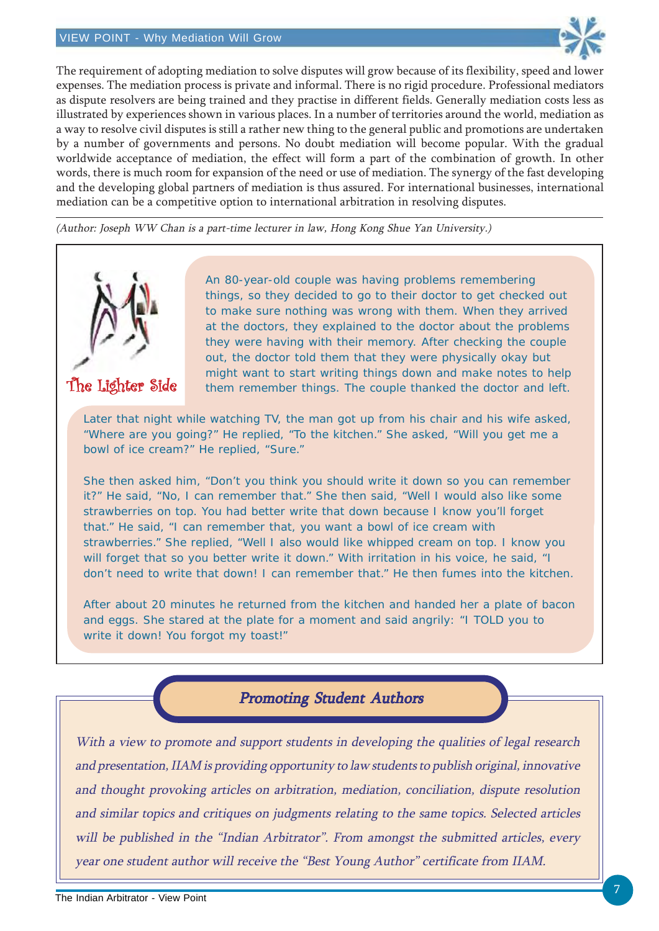

The requirement of adopting mediation to solve disputes will grow because of its flexibility, speed and lower expenses. The mediation process is private and informal. There is no rigid procedure. Professional mediators as dispute resolvers are being trained and they practise in different fields. Generally mediation costs less as illustrated by experiences shown in various places. In a number of territories around the world, mediation as a way to resolve civil disputes is still a rather new thing to the general public and promotions are undertaken by a number of governments and persons. No doubt mediation will become popular. With the gradual worldwide acceptance of mediation, the effect will form a part of the combination of growth. In other words, there is much room for expansion of the need or use of mediation. The synergy of the fast developing and the developing global partners of mediation is thus assured. For international businesses, international mediation can be a competitive option to international arbitration in resolving disputes.

(Author: Joseph WW Chan is a part-time lecturer in law, Hong Kong Shue Yan University.)



The Lighter Side

An 80-year-old couple was having problems remembering things, so they decided to go to their doctor to get checked out to make sure nothing was wrong with them. When they arrived at the doctors, they explained to the doctor about the problems they were having with their memory. After checking the couple out, the doctor told them that they were physically okay but might want to start writing things down and make notes to help them remember things. The couple thanked the doctor and left.

Later that night while watching TV, the man got up from his chair and his wife asked, "Where are you going?" He replied, "To the kitchen." She asked, "Will you get me a bowl of ice cream?" He replied, "Sure."

She then asked him, "Don't you think you should write it down so you can remember it?" He said, "No, I can remember that." She then said, "Well I would also like some strawberries on top. You had better write that down because I know you'll forget that." He said, "I can remember that, you want a bowl of ice cream with strawberries." She replied, "Well I also would like whipped cream on top. I know you will forget that so you better write it down." With irritation in his voice, he said, "I don't need to write that down! I can remember that." He then fumes into the kitchen.

After about 20 minutes he returned from the kitchen and handed her a plate of bacon and eggs. She stared at the plate for a moment and said angrily: "I TOLD you to write it down! You forgot my toast!"

Promoting Student Authors

With a view to promote and support students in developing the qualities of legal research and presentation, IIAM is providing opportunity to law students to publish original, innovative and thought provoking articles on arbitration, mediation, conciliation, dispute resolution and similar topics and critiques on judgments relating to the same topics. Selected articles will be published in the "Indian Arbitrator". From amongst the submitted articles, every year one student author will receive the "Best Young Author" certificate from IIAM.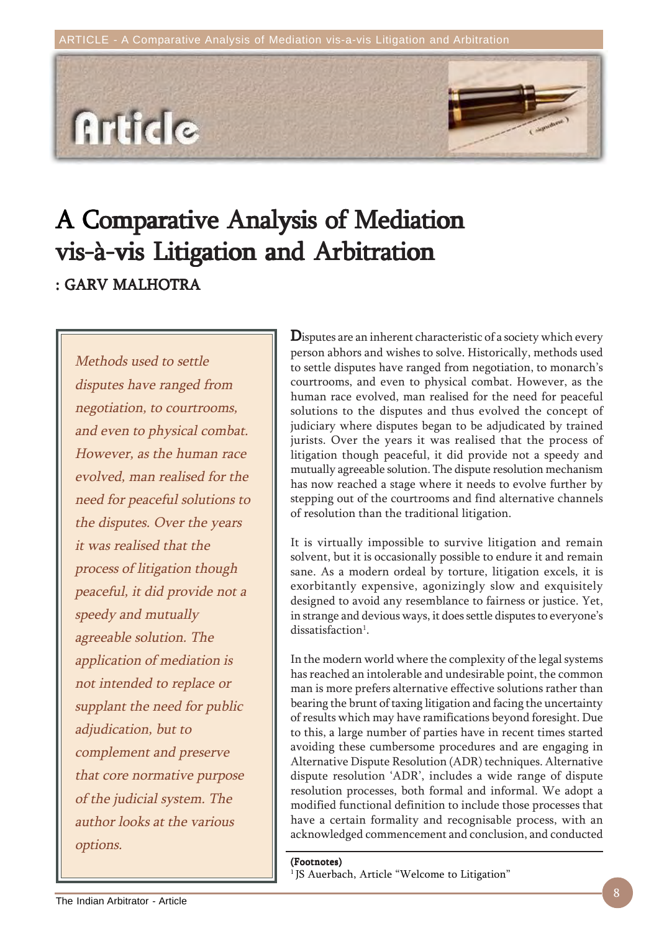

# A Comparative Analysis of Mediation vis-à-vis Litigation and Arbitration : GARV MALHOTRA

Methods used to settle disputes have ranged from negotiation, to courtrooms, and even to physical combat. However, as the human race evolved, man realised for the need for peaceful solutions to the disputes. Over the years it was realised that the process of litigation though peaceful, it did provide not a speedy and mutually agreeable solution. The application of mediation is not intended to replace or supplant the need for public adjudication, but to complement and preserve that core normative purpose of the judicial system. The author looks at the various options.

Disputes are an inherent characteristic of a society which every person abhors and wishes to solve. Historically, methods used to settle disputes have ranged from negotiation, to monarch's courtrooms, and even to physical combat. However, as the human race evolved, man realised for the need for peaceful solutions to the disputes and thus evolved the concept of judiciary where disputes began to be adjudicated by trained jurists. Over the years it was realised that the process of litigation though peaceful, it did provide not a speedy and mutually agreeable solution. The dispute resolution mechanism has now reached a stage where it needs to evolve further by stepping out of the courtrooms and find alternative channels of resolution than the traditional litigation.

It is virtually impossible to survive litigation and remain solvent, but it is occasionally possible to endure it and remain sane. As a modern ordeal by torture, litigation excels, it is exorbitantly expensive, agonizingly slow and exquisitely designed to avoid any resemblance to fairness or justice. Yet, in strange and devious ways, it does settle disputes to everyone's dissatisfaction<sup>1</sup>.

In the modern world where the complexity of the legal systems has reached an intolerable and undesirable point, the common man is more prefers alternative effective solutions rather than bearing the brunt of taxing litigation and facing the uncertainty of results which may have ramifications beyond foresight. Due to this, a large number of parties have in recent times started avoiding these cumbersome procedures and are engaging in Alternative Dispute Resolution (ADR) techniques. Alternative dispute resolution 'ADR', includes a wide range of dispute resolution processes, both formal and informal. We adopt a modified functional definition to include those processes that have a certain formality and recognisable process, with an acknowledged commencement and conclusion, and conducted

#### (Footnotes)

<sup>1</sup> JS Auerbach, Article "Welcome to Litigation"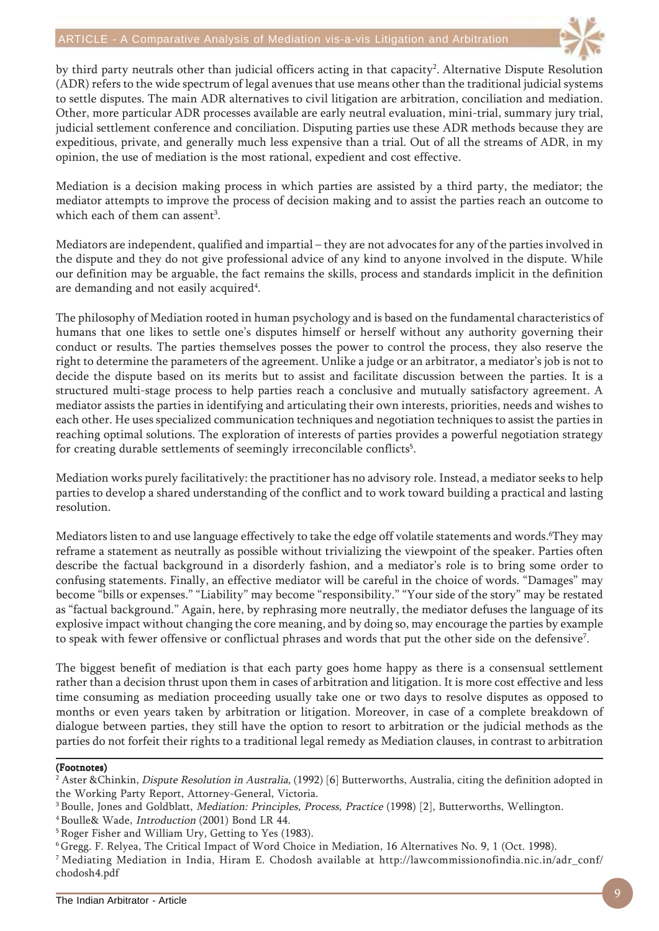

by third party neutrals other than judicial officers acting in that capacity<sup>2</sup>. Alternative Dispute Resolution (ADR) refers to the wide spectrum of legal avenues that use means other than the traditional judicial systems to settle disputes. The main ADR alternatives to civil litigation are arbitration, conciliation and mediation. Other, more particular ADR processes available are early neutral evaluation, mini-trial, summary jury trial, judicial settlement conference and conciliation. Disputing parties use these ADR methods because they are expeditious, private, and generally much less expensive than a trial. Out of all the streams of ADR, in my opinion, the use of mediation is the most rational, expedient and cost effective.

Mediation is a decision making process in which parties are assisted by a third party, the mediator; the mediator attempts to improve the process of decision making and to assist the parties reach an outcome to which each of them can assent<sup>3</sup>.

Mediators are independent, qualified and impartial – they are not advocates for any of the parties involved in the dispute and they do not give professional advice of any kind to anyone involved in the dispute. While our definition may be arguable, the fact remains the skills, process and standards implicit in the definition are demanding and not easily acquired $^{\rm 4}.$ 

The philosophy of Mediation rooted in human psychology and is based on the fundamental characteristics of humans that one likes to settle one's disputes himself or herself without any authority governing their conduct or results. The parties themselves posses the power to control the process, they also reserve the right to determine the parameters of the agreement. Unlike a judge or an arbitrator, a mediator's job is not to decide the dispute based on its merits but to assist and facilitate discussion between the parties. It is a structured multi-stage process to help parties reach a conclusive and mutually satisfactory agreement. A mediator assists the parties in identifying and articulating their own interests, priorities, needs and wishes to each other. He uses specialized communication techniques and negotiation techniques to assist the parties in reaching optimal solutions. The exploration of interests of parties provides a powerful negotiation strategy for creating durable settlements of seemingly irreconcilable conflicts<sup>5</sup>.

Mediation works purely facilitatively: the practitioner has no advisory role. Instead, a mediator seeks to help parties to develop a shared understanding of the conflict and to work toward building a practical and lasting resolution.

Mediators listen to and use language effectively to take the edge off volatile statements and words.'They may reframe a statement as neutrally as possible without trivializing the viewpoint of the speaker. Parties often describe the factual background in a disorderly fashion, and a mediator's role is to bring some order to confusing statements. Finally, an effective mediator will be careful in the choice of words. "Damages" may become "bills or expenses." "Liability" may become "responsibility." "Your side of the story" may be restated as "factual background." Again, here, by rephrasing more neutrally, the mediator defuses the language of its explosive impact without changing the core meaning, and by doing so, may encourage the parties by example to speak with fewer offensive or conflictual phrases and words that put the other side on the defensive<sup>7</sup>.

The biggest benefit of mediation is that each party goes home happy as there is a consensual settlement rather than a decision thrust upon them in cases of arbitration and litigation. It is more cost effective and less time consuming as mediation proceeding usually take one or two days to resolve disputes as opposed to months or even years taken by arbitration or litigation. Moreover, in case of a complete breakdown of dialogue between parties, they still have the option to resort to arbitration or the judicial methods as the parties do not forfeit their rights to a traditional legal remedy as Mediation clauses, in contrast to arbitration

#### (Footnotes)

<sup>&</sup>lt;sup>2</sup> Aster &Chinkin, *Dispute Resolution in Australia*, (1992) [6] Butterworths, Australia, citing the definition adopted in the Working Party Report, Attorney-General, Victoria.

<sup>&</sup>lt;sup>3</sup> Boulle, Jones and Goldblatt, *Mediation: Principles, Process, Practice* (1998) [2], Butterworths, Wellington.

<sup>4</sup> Boulle& Wade, Introduction (2001) Bond LR 44.

<sup>5</sup> Roger Fisher and William Ury, Getting to Yes (1983).

<sup>6</sup> Gregg. F. Relyea, The Critical Impact of Word Choice in Mediation, 16 Alternatives No. 9, 1 (Oct. 1998).

<sup>7</sup> Mediating Mediation in India, Hiram E. Chodosh available at http://lawcommissionofindia.nic.in/adr\_conf/ chodosh4.pdf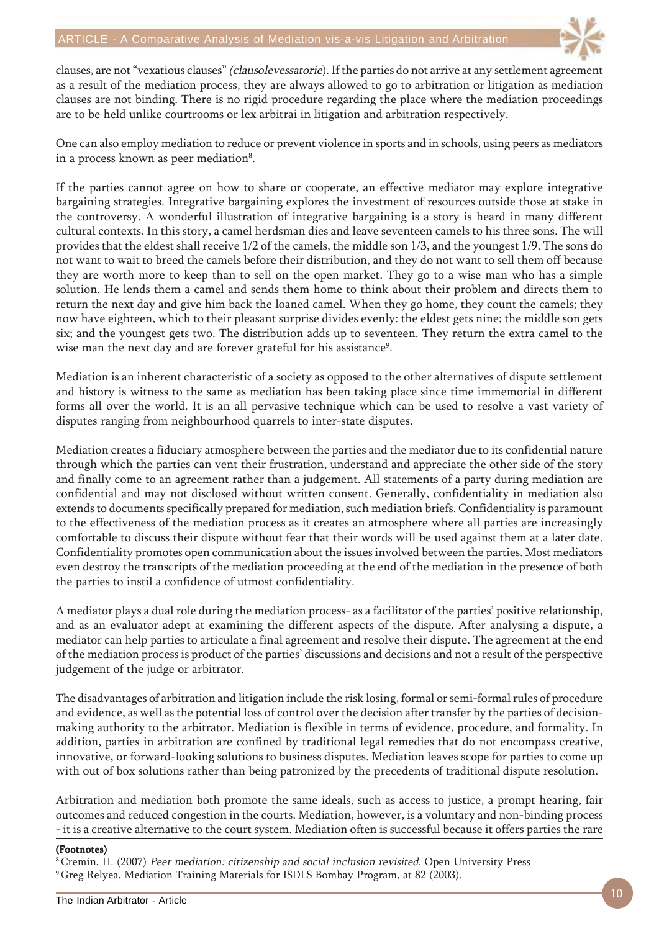

clauses, are not "vexatious clauses" (clausolevessatorie). If the parties do not arrive at any settlement agreement as a result of the mediation process, they are always allowed to go to arbitration or litigation as mediation clauses are not binding. There is no rigid procedure regarding the place where the mediation proceedings are to be held unlike courtrooms or lex arbitrai in litigation and arbitration respectively.

One can also employ mediation to reduce or prevent violence in sports and in schools, using peers as mediators in a process known as peer mediation $^{\rm 8}.$ 

If the parties cannot agree on how to share or cooperate, an effective mediator may explore integrative bargaining strategies. Integrative bargaining explores the investment of resources outside those at stake in the controversy. A wonderful illustration of integrative bargaining is a story is heard in many different cultural contexts. In this story, a camel herdsman dies and leave seventeen camels to his three sons. The will provides that the eldest shall receive 1/2 of the camels, the middle son 1/3, and the youngest 1/9. The sons do not want to wait to breed the camels before their distribution, and they do not want to sell them off because they are worth more to keep than to sell on the open market. They go to a wise man who has a simple solution. He lends them a camel and sends them home to think about their problem and directs them to return the next day and give him back the loaned camel. When they go home, they count the camels; they now have eighteen, which to their pleasant surprise divides evenly: the eldest gets nine; the middle son gets six; and the youngest gets two. The distribution adds up to seventeen. They return the extra camel to the wise man the next day and are forever grateful for his assistance<sup>9</sup>.

Mediation is an inherent characteristic of a society as opposed to the other alternatives of dispute settlement and history is witness to the same as mediation has been taking place since time immemorial in different forms all over the world. It is an all pervasive technique which can be used to resolve a vast variety of disputes ranging from neighbourhood quarrels to inter-state disputes.

Mediation creates a fiduciary atmosphere between the parties and the mediator due to its confidential nature through which the parties can vent their frustration, understand and appreciate the other side of the story and finally come to an agreement rather than a judgement. All statements of a party during mediation are confidential and may not disclosed without written consent. Generally, confidentiality in mediation also extends to documents specifically prepared for mediation, such mediation briefs. Confidentiality is paramount to the effectiveness of the mediation process as it creates an atmosphere where all parties are increasingly comfortable to discuss their dispute without fear that their words will be used against them at a later date. Confidentiality promotes open communication about the issues involved between the parties. Most mediators even destroy the transcripts of the mediation proceeding at the end of the mediation in the presence of both the parties to instil a confidence of utmost confidentiality.

A mediator plays a dual role during the mediation process- as a facilitator of the parties' positive relationship, and as an evaluator adept at examining the different aspects of the dispute. After analysing a dispute, a mediator can help parties to articulate a final agreement and resolve their dispute. The agreement at the end of the mediation process is product of the parties' discussions and decisions and not a result of the perspective judgement of the judge or arbitrator.

The disadvantages of arbitration and litigation include the risk losing, formal or semi-formal rules of procedure and evidence, as well as the potential loss of control over the decision after transfer by the parties of decisionmaking authority to the arbitrator. Mediation is flexible in terms of evidence, procedure, and formality. In addition, parties in arbitration are confined by traditional legal remedies that do not encompass creative, innovative, or forward-looking solutions to business disputes. Mediation leaves scope for parties to come up with out of box solutions rather than being patronized by the precedents of traditional dispute resolution.

Arbitration and mediation both promote the same ideals, such as access to justice, a prompt hearing, fair outcomes and reduced congestion in the courts. Mediation, however, is a voluntary and non-binding process - it is a creative alternative to the court system. Mediation often is successful because it offers parties the rare

#### (Footnotes)

8 Cremin, H. (2007) Peer mediation: citizenship and social inclusion revisited. Open University Press 9 Greg Relyea, Mediation Training Materials for ISDLS Bombay Program, at 82 (2003).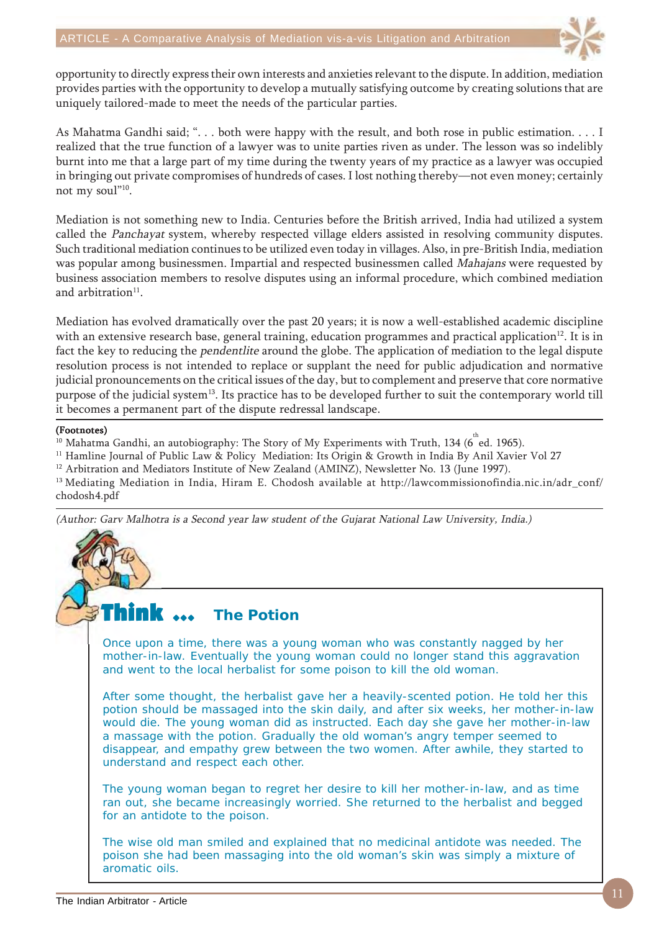

opportunity to directly express their own interests and anxieties relevant to the dispute. In addition, mediation provides parties with the opportunity to develop a mutually satisfying outcome by creating solutions that are uniquely tailored-made to meet the needs of the particular parties.

As Mahatma Gandhi said; ". . . both were happy with the result, and both rose in public estimation. . . . I realized that the true function of a lawyer was to unite parties riven as under. The lesson was so indelibly burnt into me that a large part of my time during the twenty years of my practice as a lawyer was occupied in bringing out private compromises of hundreds of cases. I lost nothing thereby—not even money; certainly not my soul"<sup>10</sup>.

Mediation is not something new to India. Centuries before the British arrived, India had utilized a system called the Panchayat system, whereby respected village elders assisted in resolving community disputes. Such traditional mediation continues to be utilized even today in villages. Also, in pre-British India, mediation was popular among businessmen. Impartial and respected businessmen called *Mahajans* were requested by business association members to resolve disputes using an informal procedure, which combined mediation and arbitration $11$ .

Mediation has evolved dramatically over the past 20 years; it is now a well-established academic discipline with an extensive research base, general training, education programmes and practical application<sup>12</sup>. It is in fact the key to reducing the pendentlite around the globe. The application of mediation to the legal dispute resolution process is not intended to replace or supplant the need for public adjudication and normative judicial pronouncements on the critical issues of the day, but to complement and preserve that core normative purpose of the judicial system<sup>13</sup>. Its practice has to be developed further to suit the contemporary world till it becomes a permanent part of the dispute redressal landscape.

#### (Footnotes)

<sup>10</sup> Mahatma Gandhi, an autobiography: The Story of My Experiments with Truth, 134 (6 $^{\text{th}}$ ed. 1965).

<sup>11</sup> Hamline Journal of Public Law & Policy Mediation: Its Origin & Growth in India By Anil Xavier Vol 27

 $12$  Arbitration and Mediators Institute of New Zealand (AMINZ), Newsletter No. 13 (June 1997).

<sup>13</sup> Mediating Mediation in India, Hiram E. Chodosh available at http://lawcommissionofindia.nic.in/adr\_conf/ chodosh4.pdf

(Author: Garv Malhotra is a Second year law student of the Gujarat National Law University, India.)

#### Think  $\ldots$ **The Potion**

Once upon a time, there was a young woman who was constantly nagged by her mother-in-law. Eventually the young woman could no longer stand this aggravation and went to the local herbalist for some poison to kill the old woman.

After some thought, the herbalist gave her a heavily-scented potion. He told her this potion should be massaged into the skin daily, and after six weeks, her mother-in-law would die. The young woman did as instructed. Each day she gave her mother-in-law a massage with the potion. Gradually the old woman's angry temper seemed to disappear, and empathy grew between the two women. After awhile, they started to understand and respect each other.

The young woman began to regret her desire to kill her mother-in-law, and as time ran out, she became increasingly worried. She returned to the herbalist and begged for an antidote to the poison.

The wise old man smiled and explained that no medicinal antidote was needed. The poison she had been massaging into the old woman's skin was simply a mixture of aromatic oils.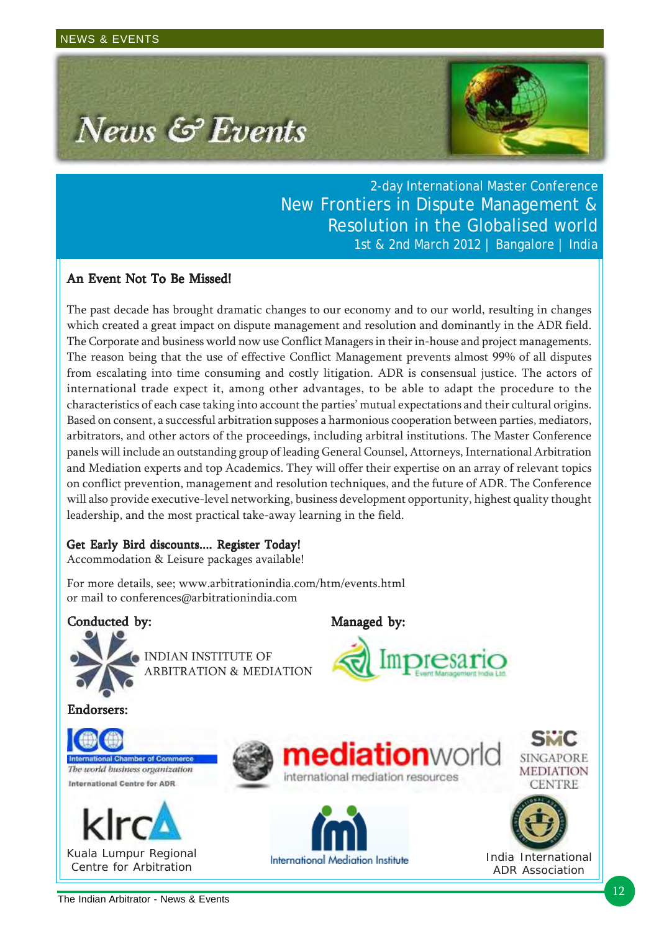

2-day International Master Conference New Frontiers in Dispute Management & Resolution in the Globalised world 1st & 2nd March 2012 | Bangalore | India

presario

## An Event Not To Be Missed!

The past decade has brought dramatic changes to our economy and to our world, resulting in changes which created a great impact on dispute management and resolution and dominantly in the ADR field. The Corporate and business world now use Conflict Managers in their in-house and project managements. The reason being that the use of effective Conflict Management prevents almost 99% of all disputes from escalating into time consuming and costly litigation. ADR is consensual justice. The actors of international trade expect it, among other advantages, to be able to adapt the procedure to the characteristics of each case taking into account the parties' mutual expectations and their cultural origins. Based on consent, a successful arbitration supposes a harmonious cooperation between parties, mediators, arbitrators, and other actors of the proceedings, including arbitral institutions. The Master Conference panels will include an outstanding group of leading General Counsel, Attorneys, International Arbitration and Mediation experts and top Academics. They will offer their expertise on an array of relevant topics on conflict prevention, management and resolution techniques, and the future of ADR. The Conference will also provide executive-level networking, business development opportunity, highest quality thought leadership, and the most practical take-away learning in the field.

### Get Early Bird discounts.... Register Today!

Accommodation & Leisure packages available!

For more details, see; www.arbitrationindia.com/htm/events.html or mail to conferences@arbitrationindia.com

### Conducted by: Managed by:



INDIAN INSTITUTE OF ARBITRATION & MEDIATION

Endorsers: Endorsers:













India International ADR Association